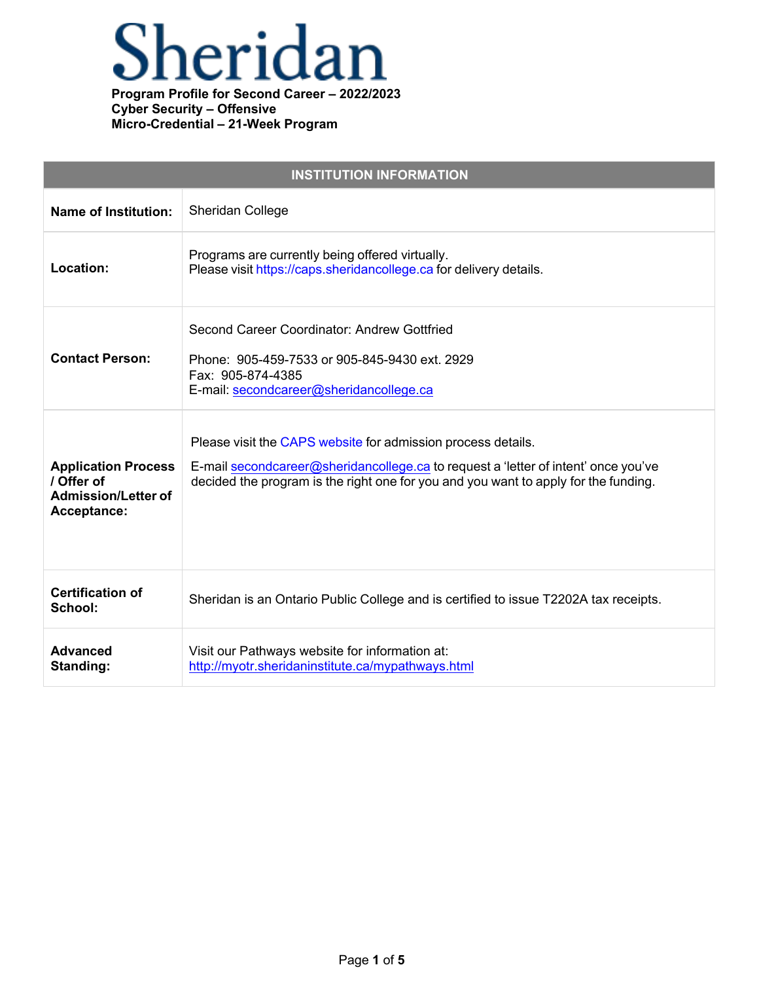

| <b>INSTITUTION INFORMATION</b>                                                        |                                                                                                                                                                                                                                           |
|---------------------------------------------------------------------------------------|-------------------------------------------------------------------------------------------------------------------------------------------------------------------------------------------------------------------------------------------|
| <b>Name of Institution:</b>                                                           | Sheridan College                                                                                                                                                                                                                          |
| Location:                                                                             | Programs are currently being offered virtually.<br>Please visit https://caps.sheridancollege.ca for delivery details.                                                                                                                     |
| <b>Contact Person:</b>                                                                | Second Career Coordinator: Andrew Gottfried<br>Phone: 905-459-7533 or 905-845-9430 ext. 2929<br>Fax: 905-874-4385<br>E-mail: secondcareer@sheridancollege.ca                                                                              |
| <b>Application Process</b><br>/ Offer of<br><b>Admission/Letter of</b><br>Acceptance: | Please visit the CAPS website for admission process details.<br>E-mail secondcareer@sheridancollege.ca to request a 'letter of intent' once you've<br>decided the program is the right one for you and you want to apply for the funding. |
| <b>Certification of</b><br>School:                                                    | Sheridan is an Ontario Public College and is certified to issue T2202A tax receipts.                                                                                                                                                      |
| <b>Advanced</b><br>Standing:                                                          | Visit our Pathways website for information at:<br>http://myotr.sheridaninstitute.ca/mypathways.html                                                                                                                                       |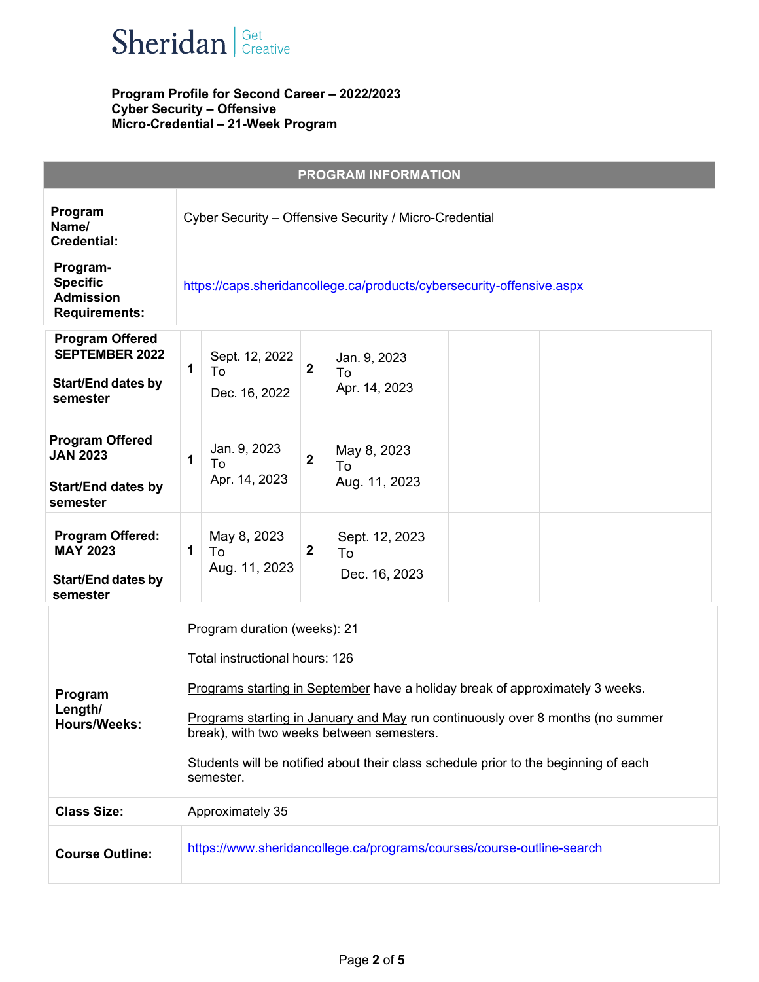

|                                                                                          | <b>PROGRAM INFORMATION</b>                                                                                                                                                                                                                                                                                                                                                         |
|------------------------------------------------------------------------------------------|------------------------------------------------------------------------------------------------------------------------------------------------------------------------------------------------------------------------------------------------------------------------------------------------------------------------------------------------------------------------------------|
| Program<br>Name/<br><b>Credential:</b>                                                   | Cyber Security - Offensive Security / Micro-Credential                                                                                                                                                                                                                                                                                                                             |
| Program-<br><b>Specific</b><br><b>Admission</b><br><b>Requirements:</b>                  | https://caps.sheridancollege.ca/products/cybersecurity-offensive.aspx                                                                                                                                                                                                                                                                                                              |
| <b>Program Offered</b><br><b>SEPTEMBER 2022</b><br><b>Start/End dates by</b><br>semester | Sept. 12, 2022<br>Jan. 9, 2023<br>$\overline{\mathbf{2}}$<br>1<br>To<br>To<br>Apr. 14, 2023<br>Dec. 16, 2022                                                                                                                                                                                                                                                                       |
| <b>Program Offered</b><br><b>JAN 2023</b><br><b>Start/End dates by</b><br>semester       | Jan. 9, 2023<br>May 8, 2023<br>$\overline{\mathbf{2}}$<br>1<br>To<br>To<br>Apr. 14, 2023<br>Aug. 11, 2023                                                                                                                                                                                                                                                                          |
| <b>Program Offered:</b><br><b>MAY 2023</b><br><b>Start/End dates by</b><br>semester      | May 8, 2023<br>Sept. 12, 2023<br>$\overline{\mathbf{2}}$<br>$\mathbf 1$<br>To<br>To<br>Aug. 11, 2023<br>Dec. 16, 2023                                                                                                                                                                                                                                                              |
| Program<br>Length/<br><b>Hours/Weeks:</b>                                                | Program duration (weeks): 21<br>Total instructional hours: 126<br>Programs starting in September have a holiday break of approximately 3 weeks.<br>Programs starting in January and May run continuously over 8 months (no summer<br>break), with two weeks between semesters.<br>Students will be notified about their class schedule prior to the beginning of each<br>semester. |
| <b>Class Size:</b>                                                                       | Approximately 35                                                                                                                                                                                                                                                                                                                                                                   |
| <b>Course Outline:</b>                                                                   | https://www.sheridancollege.ca/programs/courses/course-outline-search                                                                                                                                                                                                                                                                                                              |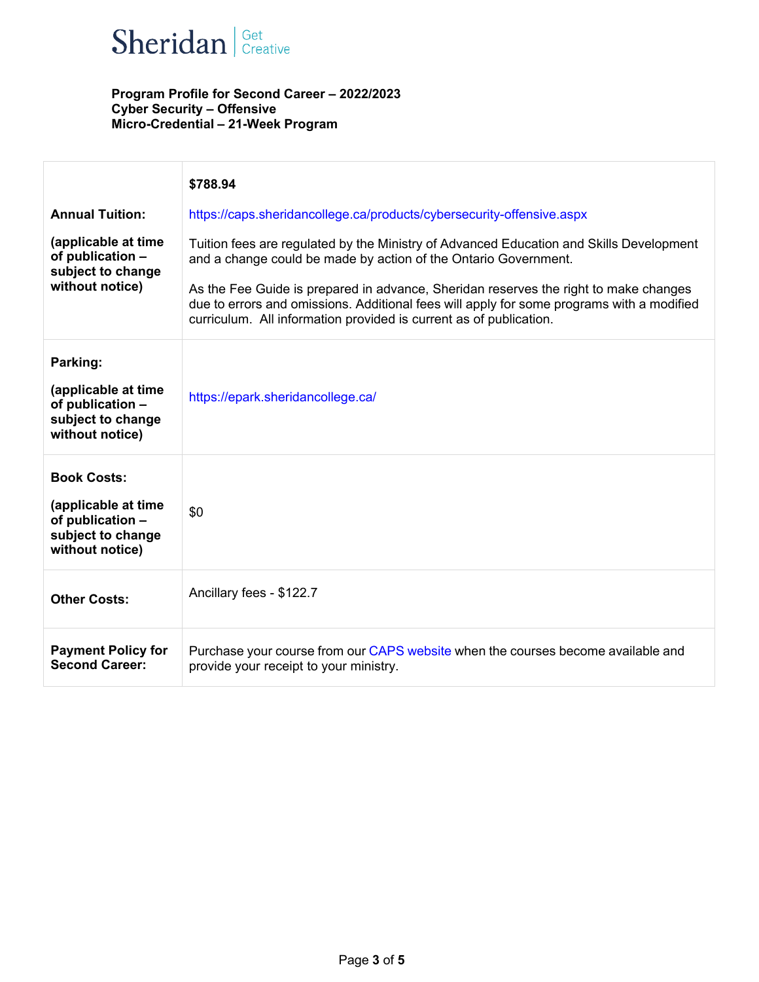

|                                                                                                       | \$788.94                                                                                                                                                                                                                                                                                                                                                                                                              |
|-------------------------------------------------------------------------------------------------------|-----------------------------------------------------------------------------------------------------------------------------------------------------------------------------------------------------------------------------------------------------------------------------------------------------------------------------------------------------------------------------------------------------------------------|
| <b>Annual Tuition:</b>                                                                                | https://caps.sheridancollege.ca/products/cybersecurity-offensive.aspx                                                                                                                                                                                                                                                                                                                                                 |
| (applicable at time<br>of publication -<br>subject to change<br>without notice)                       | Tuition fees are regulated by the Ministry of Advanced Education and Skills Development<br>and a change could be made by action of the Ontario Government.<br>As the Fee Guide is prepared in advance, Sheridan reserves the right to make changes<br>due to errors and omissions. Additional fees will apply for some programs with a modified<br>curriculum. All information provided is current as of publication. |
| Parking:<br>(applicable at time<br>of publication -<br>subject to change<br>without notice)           | https://epark.sheridancollege.ca/                                                                                                                                                                                                                                                                                                                                                                                     |
| <b>Book Costs:</b><br>(applicable at time<br>of publication -<br>subject to change<br>without notice) | \$0                                                                                                                                                                                                                                                                                                                                                                                                                   |
| <b>Other Costs:</b>                                                                                   | Ancillary fees - \$122.7                                                                                                                                                                                                                                                                                                                                                                                              |
| <b>Payment Policy for</b><br><b>Second Career:</b>                                                    | Purchase your course from our CAPS website when the courses become available and<br>provide your receipt to your ministry.                                                                                                                                                                                                                                                                                            |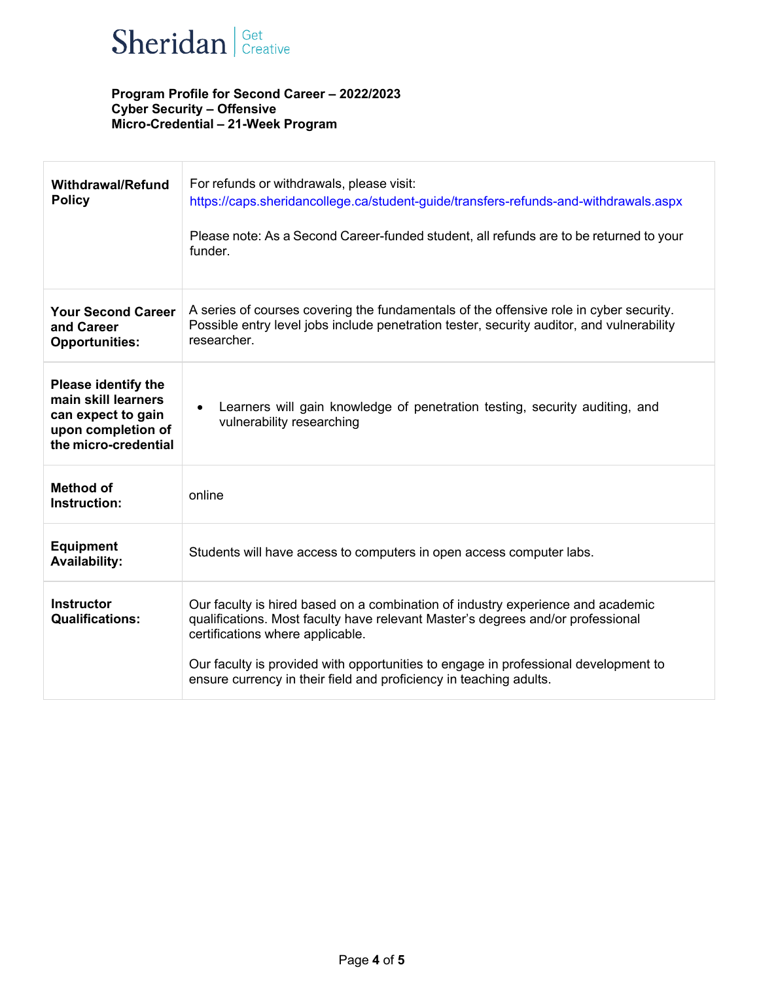

| <b>Withdrawal/Refund</b><br><b>Policy</b>                                                                             | For refunds or withdrawals, please visit:<br>https://caps.sheridancollege.ca/student-guide/transfers-refunds-and-withdrawals.aspx<br>Please note: As a Second Career-funded student, all refunds are to be returned to your<br>funder.                                                                                                                              |
|-----------------------------------------------------------------------------------------------------------------------|---------------------------------------------------------------------------------------------------------------------------------------------------------------------------------------------------------------------------------------------------------------------------------------------------------------------------------------------------------------------|
| <b>Your Second Career</b><br>and Career<br><b>Opportunities:</b>                                                      | A series of courses covering the fundamentals of the offensive role in cyber security.<br>Possible entry level jobs include penetration tester, security auditor, and vulnerability<br>researcher.                                                                                                                                                                  |
| <b>Please identify the</b><br>main skill learners<br>can expect to gain<br>upon completion of<br>the micro-credential | Learners will gain knowledge of penetration testing, security auditing, and<br>$\bullet$<br>vulnerability researching                                                                                                                                                                                                                                               |
| <b>Method of</b><br>Instruction:                                                                                      | online                                                                                                                                                                                                                                                                                                                                                              |
| <b>Equipment</b><br><b>Availability:</b>                                                                              | Students will have access to computers in open access computer labs.                                                                                                                                                                                                                                                                                                |
| <b>Instructor</b><br><b>Qualifications:</b>                                                                           | Our faculty is hired based on a combination of industry experience and academic<br>qualifications. Most faculty have relevant Master's degrees and/or professional<br>certifications where applicable.<br>Our faculty is provided with opportunities to engage in professional development to<br>ensure currency in their field and proficiency in teaching adults. |